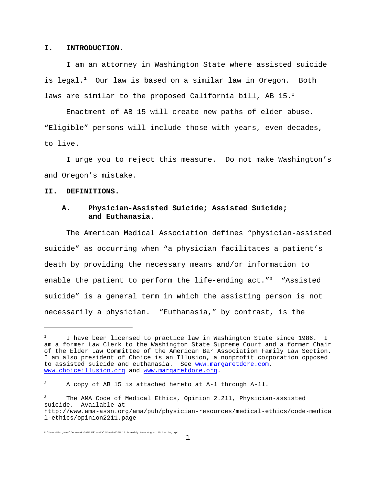#### **I. INTRODUCTION.**

 I am an attorney in Washington State where assisted suicide is legal.<sup>1</sup> Our law is based on a similar law in Oregon. Both laws are similar to the proposed California bill, AB 15. $^2$ 

Enactment of AB 15 will create new paths of elder abuse. "Eligible" persons will include those with years, even decades, to live.

I urge you to reject this measure. Do not make Washington's and Oregon's mistake.

#### **II. DEFINITIONS.**

## **A. Physician-Assisted Suicide; Assisted Suicide; and Euthanasia**.

The American Medical Association defines "physician-assisted suicide" as occurring when "a physician facilitates a patient's death by providing the necessary means and/or information to enable the patient to perform the life-ending  $act.^{n^3}$  "Assisted suicide" is a general term in which the assisting person is not necessarily a physician. "Euthanasia," by contrast, is the

<sup>1</sup> I have been licensed to practice law in Washington State since 1986. I am a former Law Clerk to the Washington State Supreme Court and a former Chair of the Elder Law Committee of the American Bar Association Family Law Section. I am also president of Choice is an Illusion, a nonprofit corporation opposed to assisted suicide and euthanasia. See www.margaretdore.com, www.choiceillusion.org and www.margaretdore.org.

<sup>2</sup> A copy of AB 15 is attached hereto at A-1 through A-11.

The AMA Code of Medical Ethics, Opinion 2.211, Physician-assisted suicide. Available at http://www.ama-assn.org/ama/pub/physician-resources/medical-ethics/code-medica l-ethics/opinion2211.page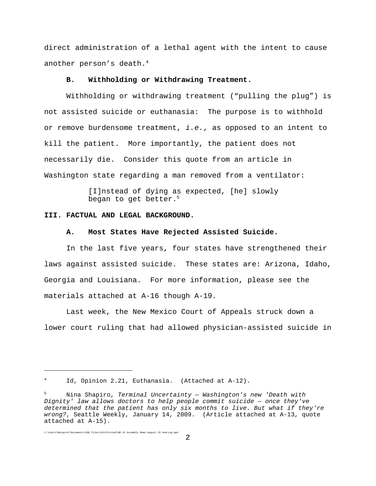direct administration of a lethal agent with the intent to cause another person's death.<sup>4</sup>

### **B. Withholding or Withdrawing Treatment.**

Withholding or withdrawing treatment ("pulling the plug") is not assisted suicide or euthanasia: The purpose is to withhold or remove burdensome treatment, *i.e.*, as opposed to an intent to kill the patient. More importantly, the patient does not necessarily die. Consider this quote from an article in Washington state regarding a man removed from a ventilator:

> [I]nstead of dying as expected, [he] slowly began to get better.<sup>5</sup>

#### **III. FACTUAL AND LEGAL BACKGROUND.**

### **A. Most States Have Rejected Assisted Suicide.**

In the last five years, four states have strengthened their laws against assisted suicide. These states are: Arizona, Idaho, Georgia and Louisiana. For more information, please see the materials attached at A-16 though A-19.

Last week, the New Mexico Court of Appeals struck down a lower court ruling that had allowed physician-assisted suicide in

Id, Opinion 2.21, Euthanasia. (Attached at A-12).

<sup>5</sup> Nina Shapiro, *Terminal Uncertainty — Washington's new 'Death with Dignity' law allows doctors to help people commit suicide — once they've determined that the patient has only six months to live. But what if they're wrong?*, Seattle Weekly, January 14, 2009. (Article attached at A-13, quote attached at A-15).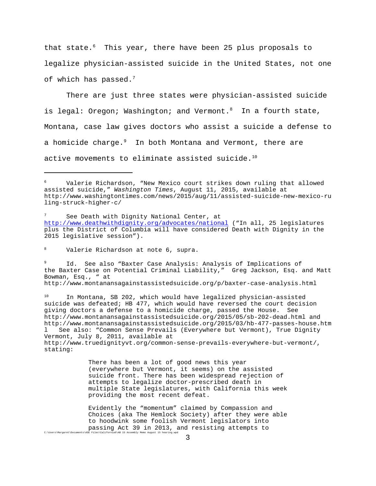that state. $6$  This year, there have been 25 plus proposals to legalize physician-assisted suicide in the United States, not one of which has passed. $7$ 

There are just three states were physician-assisted suicide is legal: Oregon; Washington; and Vermont.<sup>8</sup> In a fourth state, Montana, case law gives doctors who assist a suicide a defense to a homicide charge.<sup>9</sup> In both Montana and Vermont, there are active movements to eliminate assisted suicide.<sup>10</sup>

<sup>8</sup> Valerie Richardson at note 6, supra.

<sup>9</sup> Id. See also "Baxter Case Analysis: Analysis of Implications of the Baxter Case on Potential Criminal Liability," Greg Jackson, Esq. and Matt Bowman, Esq., " at http://www.montanansagainstassistedsuicide.org/p/baxter-case-analysis.html

<sup>10</sup> In Montana, SB 202, which would have legalized physician-assisted suicide was defeated; HB 477, which would have reversed the court decision giving doctors a defense to a homicide charge, passed the House. See http://www.montanansagainstassistedsuicide.org/2015/05/sb-202-dead.html and http://www.montanansagainstassistedsuicide.org/2015/03/hb-477-passes-house.htm See also: "Common Sense Prevails (Everywhere but Vermont), True Dignity Vermont, July 8, 2011, available at http://www.truedignityvt.org/common-sense-prevails-everywhere-but-vermont/, stating:

> There has been a lot of good news this year (everywhere but Vermont, it seems) on the assisted suicide front. There has been widespread rejection of attempts to legalize doctor-prescribed death in multiple State legislatures, with California this week providing the most recent defeat.

Evidently the "momentum" claimed by Compassion and Choices (aka The Hemlock Society) after they were able to hoodwink some foolish Vermont legislators into passing Act 39 in 2013, and resisting attempts to  $C:\Upsilon$ Bers\Margaret\Documents\A

Valerie Richardson, "New Mexico court strikes down ruling that allowed assisted suicide," *Washington Times*, August 11, 2015, available at http://www.washingtontimes.com/news/2015/aug/11/assisted-suicide-new-mexico-ru ling-struck-higher-c/

See Death with Dignity National Center, at http://www.deathwithdignity.org/advocates/national ("In all, 25 legislatures plus the District of Columbia will have considered Death with Dignity in the 2015 legislative session").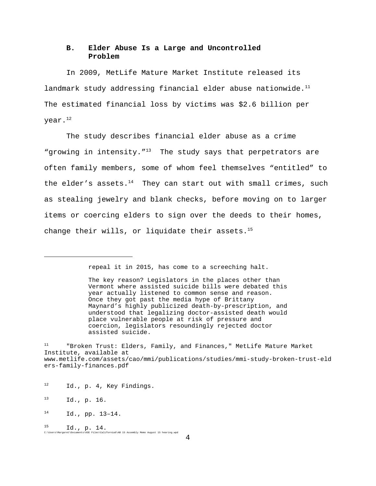## **B. Elder Abuse Is a Large and Uncontrolled Problem**

In 2009, MetLife Mature Market Institute released its landmark study addressing financial elder abuse nationwide. $11$ The estimated financial loss by victims was \$2.6 billion per  $year.<sup>12</sup>$ 

The study describes financial elder abuse as a crime "growing in intensity."<sup>13</sup> The study says that perpetrators are often family members, some of whom feel themselves "entitled" to the elder's assets. $14$  They can start out with small crimes, such as stealing jewelry and blank checks, before moving on to larger items or coercing elders to sign over the deeds to their homes, change their wills, or liquidate their assets. $15$ 

repeal it in 2015, has come to a screeching halt.

The key reason? Legislators in the places other than Vermont where assisted suicide bills were debated this year actually listened to common sense and reason. Once they got past the media hype of Brittany Maynard's highly publicized death-by-prescription, and understood that legalizing doctor-assisted death would place vulnerable people at risk of pressure and coercion, legislators resoundingly rejected doctor assisted suicide.

<sup>&</sup>quot;Broken Trust: Elders, Family, and Finances," MetLife Mature Market Institute, available at www.metlife.com/assets/cao/mmi/publications/studies/mmi-study-broken-trust-eld ers-family-finances.pdf

<sup>12</sup> Id., p. 4, Key Findings.

<sup>13</sup> Id., p. 16.

 $^{14}$  Id., pp. 13-14.

 $^{15}$  Id.,  ${\rm p. \ 14.}$  C:\Users\Margaret\Documents\ASE Files\California6\AB 15 Assembly Memo August 15 hearing.wpd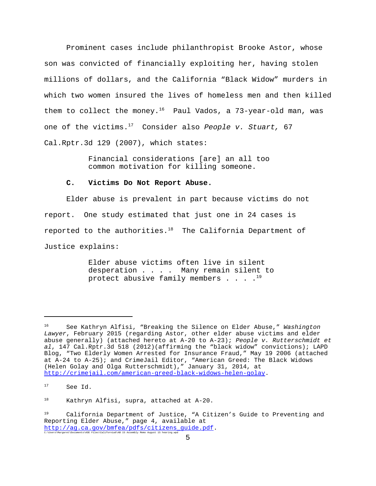Prominent cases include philanthropist Brooke Astor, whose son was convicted of financially exploiting her, having stolen millions of dollars, and the California "Black Widow" murders in which two women insured the lives of homeless men and then killed them to collect the money.<sup>16</sup> Paul Vados, a 73-year-old man, was one of the victims.17 Consider also *People v. Stuart,* 67 Cal.Rptr.3d 129 (2007), which states:

> Financial considerations [are] an all too common motivation for killing someone.

### **C. Victims Do Not Report Abuse.**

Elder abuse is prevalent in part because victims do not report. One study estimated that just one in 24 cases is reported to the authorities. $18$  The California Department of Justice explains:

> Elder abuse victims often live in silent desperation . . . . Many remain silent to protect abusive family members  $\ldots$ .<sup>19</sup>

<sup>16</sup> See Kathryn Alfisi, "Breaking the Silence on Elder Abuse," *Washington Lawyer*, February 2015 (regarding Astor, other elder abuse victims and elder abuse generally) (attached hereto at A-20 to A-23); *People v. Rutterschmidt et al*, 147 Cal.Rptr.3d 518 (2012)(affirming the "black widow" convictions); LAPD Blog, "Two Elderly Women Arrested for Insurance Fraud," May 19 2006 (attached at A-24 to A-25); and CrimeJail Editor, "American Greed: The Black Widows (Helen Golay and Olga Rutterschmidt)," January 31, 2014, at http://crimejail.com/american-greed-black-widows-helen-golay.

<sup>&</sup>lt;sup>17</sup> See Id.

<sup>18</sup> Kathryn Alfisi, supra, attached at A-20.

<sup>19</sup> California Department of Justice, "A Citizen's Guide to Preventing and Reporting Elder Abuse," page 4, available at http://ag.ca.gov/bmfea/pdfs/citizens\_guide.pdf.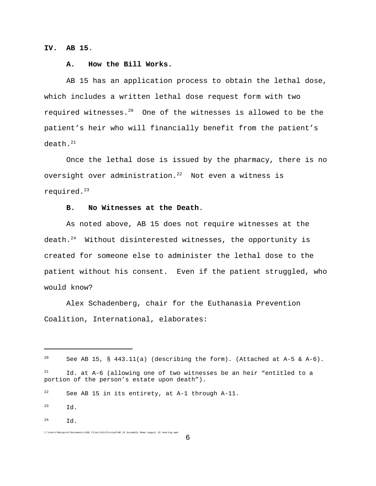**IV. AB 15**.

### **A. How the Bill Works.**

AB 15 has an application process to obtain the lethal dose, which includes a written lethal dose request form with two required witnesses. $20$  One of the witnesses is allowed to be the patient's heir who will financially benefit from the patient's death.<sup>21</sup>

Once the lethal dose is issued by the pharmacy, there is no oversight over administration. $22$  Not even a witness is required.<sup>23</sup>

### **B. No Witnesses at the Death**.

As noted above, AB 15 does not require witnesses at the death.24 Without disinterested witnesses, the opportunity is created for someone else to administer the lethal dose to the patient without his consent. Even if the patient struggled, who would know?

Alex Schadenberg, chair for the Euthanasia Prevention Coalition, International, elaborates:

C:\Users\Margaret\Documents\ASE Files\California6\AB 15 Assembly Memo August 15 hearing.wpd

 $^{24}$  Id.

<sup>&</sup>lt;sup>20</sup> See AB 15, § 443.11(a) (describing the form). (Attached at A-5  $\&$  A-6).

 $21$  Id. at A-6 (allowing one of two witnesses be an heir "entitled to a portion of the person's estate upon death").

 $22$  See AB 15 in its entirety, at A-1 through A-11.

 $^{23}$   $\overline{d}$ .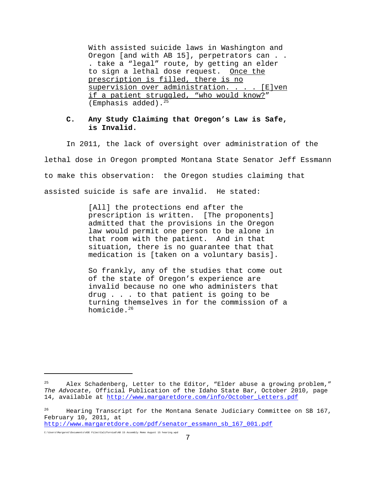With assisted suicide laws in Washington and Oregon [and with AB 15], perpetrators can . . . take a "legal" route, by getting an elder to sign a lethal dose request. Once the prescription is filled, there is no supervision over administration. . . . [E]ven if a patient struggled, "who would know?" (Emphasis added).25

### **C. Any Study Claiming that Oregon's Law is Safe, is Invalid.**

In 2011, the lack of oversight over administration of the lethal dose in Oregon prompted Montana State Senator Jeff Essmann to make this observation: the Oregon studies claiming that assisted suicide is safe are invalid. He stated:

> [All] the protections end after the prescription is written. [The proponents] admitted that the provisions in the Oregon law would permit one person to be alone in that room with the patient. And in that situation, there is no guarantee that that medication is [taken on a voluntary basis].

So frankly, any of the studies that come out of the state of Oregon's experience are invalid because no one who administers that drug . . . to that patient is going to be turning themselves in for the commission of a homicide.<sup>26</sup>

 $25$  Alex Schadenberg, Letter to the Editor, "Elder abuse a growing problem," *The Advocate*, Official Publication of the Idaho State Bar, October 2010, page 14, available at http://www.margaretdore.com/info/October\_Letters.pdf

<sup>26</sup> Hearing Transcript for the Montana Senate Judiciary Committee on SB 167, February 10, 2011, at

http://www.margaretdore.com/pdf/senator\_essmann\_sb\_167\_001.pdf

C:\Users\Margaret\Documents\ASE Files\California6\AB 15 Assembly Memo August 15 hearing.wpd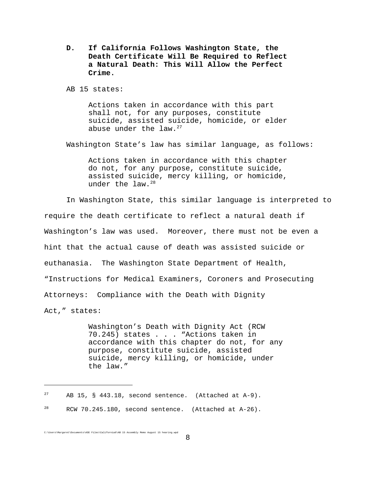**D. If California Follows Washington State, the Death Certificate Will Be Required to Reflect a Natural Death: This Will Allow the Perfect Crime.**

AB 15 states:

Actions taken in accordance with this part shall not, for any purposes, constitute suicide, assisted suicide, homicide, or elder abuse under the  $law.^{27}$ 

Washington State's law has similar language, as follows:

Actions taken in accordance with this chapter do not, for any purpose, constitute suicide, assisted suicide, mercy killing, or homicide, under the  $law.^{28}$ 

In Washington State, this similar language is interpreted to require the death certificate to reflect a natural death if Washington's law was used. Moreover, there must not be even a hint that the actual cause of death was assisted suicide or euthanasia. The Washington State Department of Health, "Instructions for Medical Examiners, Coroners and Prosecuting Attorneys: Compliance with the Death with Dignity Act," states:

> Washington's Death with Dignity Act (RCW 70.245) states . . . "Actions taken in accordance with this chapter do not, for any purpose, constitute suicide, assisted suicide, mercy killing, or homicide, under the law."

<sup>&</sup>lt;sup>27</sup> AB 15, § 443.18, second sentence. (Attached at A-9).

 $28$  RCW 70.245.180, second sentence. (Attached at A-26).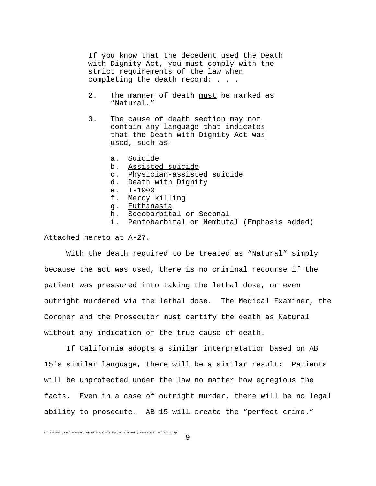If you know that the decedent used the Death with Dignity Act, you must comply with the strict requirements of the law when completing the death record: . . .

- 2. The manner of death must be marked as "Natural."
- 3. The cause of death section may not contain any language that indicates that the Death with Dignity Act was used, such as:
	- a. Suicide
	- b. Assisted suicide
	- c. Physician-assisted suicide
	- d. Death with Dignity
	- e. I-1000
	- f. Mercy killing
	- g. Euthanasia<br>h. Secobarbita
	- Secobarbital or Seconal
	- i. Pentobarbital or Nembutal (Emphasis added)

Attached hereto at A-27.

With the death required to be treated as "Natural" simply because the act was used, there is no criminal recourse if the patient was pressured into taking the lethal dose, or even outright murdered via the lethal dose. The Medical Examiner, the Coroner and the Prosecutor must certify the death as Natural without any indication of the true cause of death.

If California adopts a similar interpretation based on AB 15's similar language, there will be a similar result: Patients will be unprotected under the law no matter how egregious the facts. Even in a case of outright murder, there will be no legal ability to prosecute. AB 15 will create the "perfect crime."

9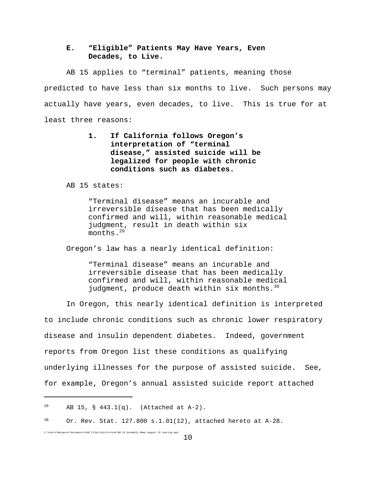## **E. "Eligible" Patients May Have Years, Even Decades, to Live.**

AB 15 applies to "terminal" patients, meaning those predicted to have less than six months to live. Such persons may actually have years, even decades, to live. This is true for at least three reasons:

> **1. If California follows Oregon's interpretation of "terminal disease," assisted suicide will be legalized for people with chronic conditions such as diabetes.**

AB 15 states:

"Terminal disease" means an incurable and irreversible disease that has been medically confirmed and will, within reasonable medical judgment, result in death within six months.<sup>29</sup>

Oregon's law has a nearly identical definition:

"Terminal disease" means an incurable and irreversible disease that has been medically confirmed and will, within reasonable medical judgment, produce death within six months.<sup>30</sup>

In Oregon, this nearly identical definition is interpreted to include chronic conditions such as chronic lower respiratory disease and insulin dependent diabetes. Indeed, government reports from Oregon list these conditions as qualifying underlying illnesses for the purpose of assisted suicide. See, for example, Oregon's annual assisted suicide report attached

<sup>&</sup>lt;sup>29</sup> AB 15, § 443.1(q). (Attached at A-2).

 $30$  Or. Rev. Stat. 127.800 s.1.01(12), attached hereto at A-28.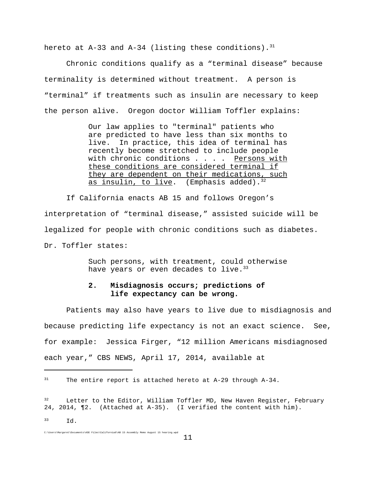hereto at A-33 and A-34 (listing these conditions).<sup>31</sup>

Chronic conditions qualify as a "terminal disease" because terminality is determined without treatment. A person is "terminal" if treatments such as insulin are necessary to keep the person alive. Oregon doctor William Toffler explains:

> Our law applies to "terminal" patients who are predicted to have less than six months to live. In practice, this idea of terminal has recently become stretched to include people with chronic conditions . . . . Persons with these conditions are considered terminal if they are dependent on their medications, such as insulin, to live. (Emphasis added).  $32$

If California enacts AB 15 and follows Oregon's interpretation of "terminal disease," assisted suicide will be legalized for people with chronic conditions such as diabetes. Dr. Toffler states:

> Such persons, with treatment, could otherwise have years or even decades to live.  $33$

# **2. Misdiagnosis occurs; predictions of life expectancy can be wrong.**

Patients may also have years to live due to misdiagnosis and because predicting life expectancy is not an exact science. See, for example: Jessica Firger, "12 million Americans misdiagnosed each year," CBS NEWS, April 17, 2014, available at

 $^{33}$  Id.

 $31$  The entire report is attached hereto at A-29 through A-34.

<sup>&</sup>lt;sup>32</sup> Letter to the Editor, William Toffler MD, New Haven Register, February 24, 2014, ¶2. (Attached at A-35). (I verified the content with him).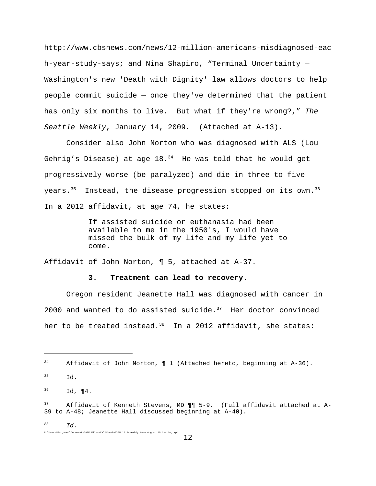http://www.cbsnews.com/news/12-million-americans-misdiagnosed-eac h-year-study-says; and Nina Shapiro, "Terminal Uncertainty — Washington's new 'Death with Dignity' law allows doctors to help people commit suicide — once they've determined that the patient has only six months to live. But what if they're wrong?," *The Seattle Weekly*, January 14, 2009. (Attached at A-13).

Consider also John Norton who was diagnosed with ALS (Lou Gehrig's Disease) at age  $18.^{34}$  He was told that he would get progressively worse (be paralyzed) and die in three to five years.<sup>35</sup> Instead, the disease progression stopped on its own.<sup>36</sup> In a 2012 affidavit, at age 74, he states:

> If assisted suicide or euthanasia had been available to me in the 1950's, I would have missed the bulk of my life and my life yet to come.

Affidavit of John Norton, ¶ 5, attached at A-37.

### **3. Treatment can lead to recovery.**

Oregon resident Jeanette Hall was diagnosed with cancer in 2000 and wanted to do assisted suicide. $37$  Her doctor convinced her to be treated instead.<sup>38</sup> In a 2012 affidavit, she states:

C:\Users\Margaret\Documents\ASE Files\California6\AB 15 Assembly Memo August 15 hearing.wpd

 $^{38}$  *Id.* 

 $34$  Affidavit of John Norton,  $\P$  1 (Attached hereto, beginning at A-36).

<sup>35</sup> Id.

 $^{36}$  Id, ¶4.

 $37$  Affidavit of Kenneth Stevens, MD  $\P\P$  5-9. (Full affidavit attached at A-39 to A-48; Jeanette Hall discussed beginning at A-40).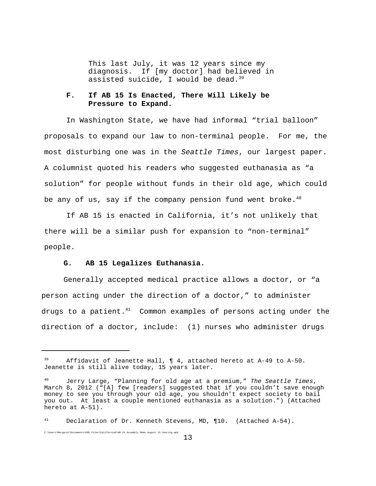This last July, it was 12 years since my diagnosis. If [my doctor] had believed in assisted suicide, I would be dead.  $39$ 

### **F. If AB 15 Is Enacted, There Will Likely be Pressure to Expand.**

In Washington State, we have had informal "trial balloon" proposals to expand our law to non-terminal people. For me, the most disturbing one was in the *Seattle Times*, our largest paper. A columnist quoted his readers who suggested euthanasia as "a solution" for people without funds in their old age, which could be any of us, say if the company pension fund went broke.<sup>40</sup>

If AB 15 is enacted in California, it's not unlikely that there will be a similar push for expansion to "non-terminal" people.

### **G. AB 15 Legalizes Euthanasia.**

C:\Users\Margaret\Documents\ASE Files\California6\AB 15 Assembly Memo August 15 hearing.wpd

Generally accepted medical practice allows a doctor, or "a person acting under the direction of a doctor," to administer drugs to a patient. $41$  Common examples of persons acting under the direction of a doctor, include: (1) nurses who administer drugs

Affidavit of Jeanette Hall,  $\P$  4, attached hereto at A-49 to A-50. Jeanette is still alive today, 15 years later.

<sup>40</sup> Jerry Large, "Planning for old age at a premium," *The Seattle Times*, March 8, 2012 ("[A] few [readers] suggested that if you couldn't save enough money to see you through your old age, you shouldn't expect society to bail you out. At least a couple mentioned euthanasia as a solution.") (Attached hereto at A-51).

 $41$  Declaration of Dr. Kenneth Stevens, MD, ¶10. (Attached A-54).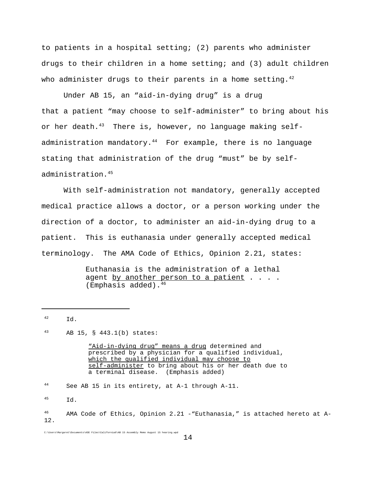to patients in a hospital setting; (2) parents who administer drugs to their children in a home setting; and (3) adult children who administer drugs to their parents in a home setting. $^{42}$ 

Under AB 15, an "aid-in-dying drug" is a drug that a patient "may choose to self-administer" to bring about his or her death. $^{43}$  There is, however, no language making selfadministration mandatory.<sup>44</sup> For example, there is no language stating that administration of the drug "must" be by selfadministration.45

With self-administration not mandatory, generally accepted medical practice allows a doctor, or a person working under the direction of a doctor, to administer an aid-in-dying drug to a patient. This is euthanasia under generally accepted medical terminology. The AMA Code of Ethics, Opinion 2.21, states:

> Euthanasia is the administration of a lethal agent by another person to a patient . . . . (Emphasis added).46

<sup>43</sup> AB 15, § 443.1(b) states:

"Aid-in-dying drug" means a drug determined and prescribed by a physician for a qualified individual, which the qualified individual may choose to self-administer to bring about his or her death due to a terminal disease. (Emphasis added)

<sup>44</sup> See AB 15 in its entirety, at A-1 through A-11.

<sup>45</sup> Id.

<sup>42</sup> Id.

 $46$  AMA Code of Ethics, Opinion 2.21 -"Euthanasia," is attached hereto at A-12.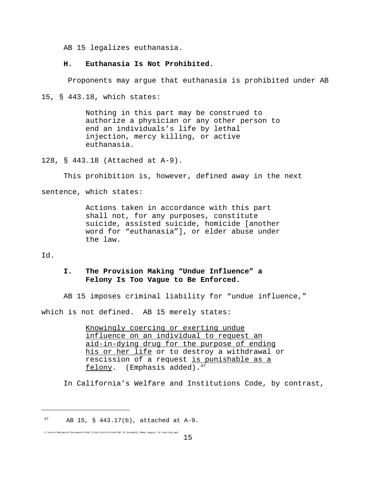AB 15 legalizes euthanasia.

### **H. Euthanasia Is Not Prohibited.**

Proponents may argue that euthanasia is prohibited under AB

15, § 443.18, which states:

Nothing in this part may be construed to authorize a physician or any other person to end an individuals's life by lethal injection, mercy killing, or active euthanasia.

128, § 443.18 (Attached at A-9).

This prohibition is, however, defined away in the next

sentence, which states:

Actions taken in accordance with this part shall not, for any purposes, constitute suicide, assisted suicide, homicide [another word for "euthanasia"], or elder abuse under the law.

Id.

## **I. The Provision Making "Undue Influence" a Felony Is Too Vague to Be Enforced.**

AB 15 imposes criminal liability for "undue influence,"

which is not defined. AB 15 merely states:

Knowingly coercing or exerting undue influence on an individual to request an aid-in-dying drug for the purpose of ending his or her life or to destroy a withdrawal or rescission of a request is punishable as a felony. (Emphasis added). $47$ 

In California's Welfare and Institutions Code, by contrast,

 $47$  AB 15, § 443.17(b), attached at A-9.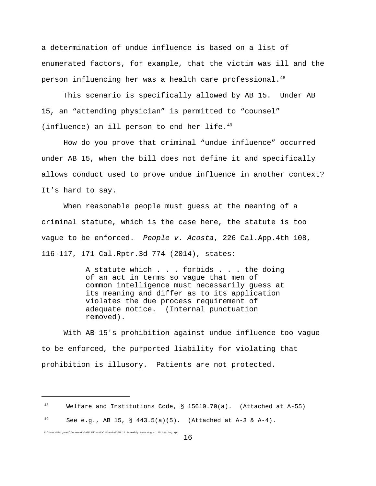a determination of undue influence is based on a list of enumerated factors, for example, that the victim was ill and the person influencing her was a health care professional. $48$ 

This scenario is specifically allowed by AB 15. Under AB 15, an "attending physician" is permitted to "counsel" (influence) an ill person to end her life. $49$ 

How do you prove that criminal "undue influence" occurred under AB 15, when the bill does not define it and specifically allows conduct used to prove undue influence in another context? It's hard to say.

When reasonable people must guess at the meaning of a criminal statute, which is the case here, the statute is too vague to be enforced. *People v. Acosta*, 226 Cal.App.4th 108, 116-117, 171 Cal.Rptr.3d 774 (2014), states:

> A statute which . . . forbids . . . the doing of an act in terms so vague that men of common intelligence must necessarily guess at its meaning and differ as to its application violates the due process requirement of adequate notice. (Internal punctuation removed).

With AB 15's prohibition against undue influence too vague to be enforced, the purported liability for violating that prohibition is illusory. Patients are not protected.

 $48$  Welfare and Institutions Code, § 15610.70(a). (Attached at A-55)

 $^{49}$  See e.g., AB 15, § 443.5(a)(5). (Attached at A-3 & A-4).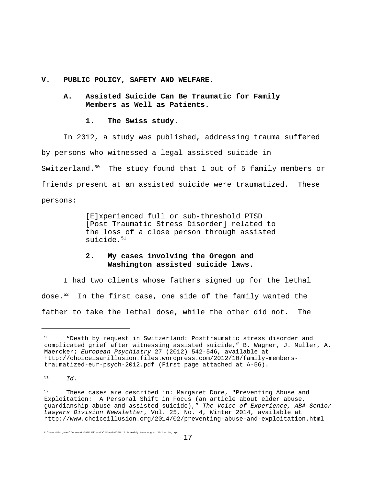**V. PUBLIC POLICY, SAFETY AND WELFARE.**

**A. Assisted Suicide Can Be Traumatic for Family Members as Well as Patients.**

### **1. The Swiss study**.

In 2012, a study was published, addressing trauma suffered by persons who witnessed a legal assisted suicide in Switzerland.<sup>50</sup> The study found that 1 out of 5 family members or friends present at an assisted suicide were traumatized. These persons:

> [E]xperienced full or sub-threshold PTSD [Post Traumatic Stress Disorder] related to the loss of a close person through assisted suicide. $51$

# **2. My cases involving the Oregon and Washington assisted suicide laws**.

I had two clients whose fathers signed up for the lethal dose. $52$  In the first case, one side of the family wanted the father to take the lethal dose, while the other did not. The

<sup>51</sup> *Id.*

<sup>50</sup> "Death by request in Switzerland: Posttraumatic stress disorder and complicated grief after witnessing assisted suicide," B. Wagner, J. Muller, A. Maercker; *European Psychiatry* 27 (2012) 542-546, available at http://choiceisanillusion.files.wordpress.com/2012/10/family-memberstraumatized-eur-psych-2012.pdf (First page attached at A-56).

<sup>&</sup>lt;sup>52</sup> These cases are described in: Margaret Dore, "Preventing Abuse and Exploitation: A Personal Shift in Focus (an article about elder abuse, guardianship abuse and assisted suicide)," *The Voice of Experience, ABA Senior Lawyers Division Newsletter*, Vol. 25, No. 4, Winter 2014, available at http://www.choiceillusion.org/2014/02/preventing-abuse-and-exploitation.html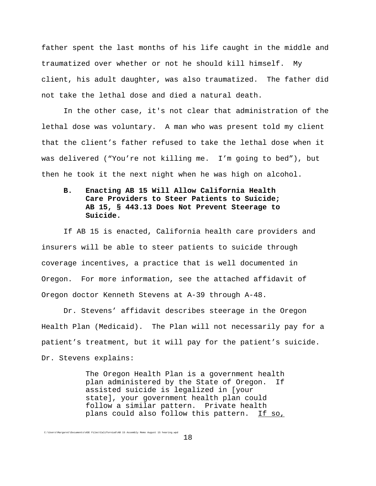father spent the last months of his life caught in the middle and traumatized over whether or not he should kill himself. My client, his adult daughter, was also traumatized. The father did not take the lethal dose and died a natural death.

In the other case, it's not clear that administration of the lethal dose was voluntary. A man who was present told my client that the client's father refused to take the lethal dose when it was delivered ("You're not killing me. I'm going to bed"), but then he took it the next night when he was high on alcohol.

# **B. Enacting AB 15 Will Allow California Health Care Providers to Steer Patients to Suicide; AB 15, § 443.13 Does Not Prevent Steerage to Suicide.**

If AB 15 is enacted, California health care providers and insurers will be able to steer patients to suicide through coverage incentives, a practice that is well documented in Oregon. For more information, see the attached affidavit of Oregon doctor Kenneth Stevens at A-39 through A-48.

Dr. Stevens' affidavit describes steerage in the Oregon Health Plan (Medicaid). The Plan will not necessarily pay for a patient's treatment, but it will pay for the patient's suicide. Dr. Stevens explains:

> The Oregon Health Plan is a government health plan administered by the State of Oregon. If assisted suicide is legalized in [your state], your government health plan could follow a similar pattern. Private health plans could also follow this pattern. If so,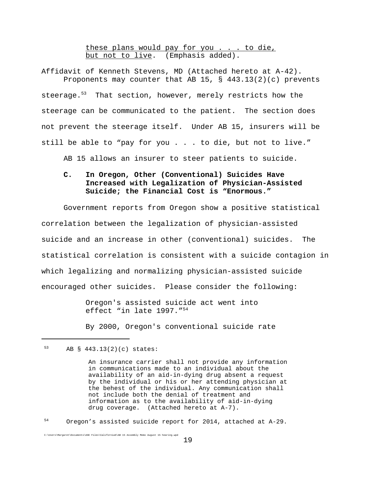these plans would pay for you . . . to die, but not to live. (Emphasis added).

Affidavit of Kenneth Stevens, MD (Attached hereto at A-42). Proponents may counter that AB 15,  $\S$  443.13(2)(c) prevents steerage. $53$  That section, however, merely restricts how the steerage can be communicated to the patient. The section does not prevent the steerage itself. Under AB 15, insurers will be still be able to "pay for you . . . to die, but not to live."

AB 15 allows an insurer to steer patients to suicide.

# **C. In Oregon, Other (Conventional) Suicides Have Increased with Legalization of Physician-Assisted Suicide; the Financial Cost is "Enormous."**

Government reports from Oregon show a positive statistical correlation between the legalization of physician-assisted suicide and an increase in other (conventional) suicides. The statistical correlation is consistent with a suicide contagion in which legalizing and normalizing physician-assisted suicide encouraged other suicides. Please consider the following:

> Oregon's assisted suicide act went into effect "in late 1997."54

By 2000, Oregon's conventional suicide rate

C:\Users\Margaret\Documents\ASE Files\California6\AB 15 Assembly Memo August 15 hearing.wpd

### <sup>54</sup> Oregon's assisted suicide report for 2014, attached at A-29.

<sup>53</sup> AB § 443.13(2)(c) states:

An insurance carrier shall not provide any information in communications made to an individual about the availability of an aid-in-dying drug absent a request by the individual or his or her attending physician at the behest of the individual. Any communication shall not include both the denial of treatment and information as to the availability of aid-in-dying drug coverage. (Attached hereto at A-7).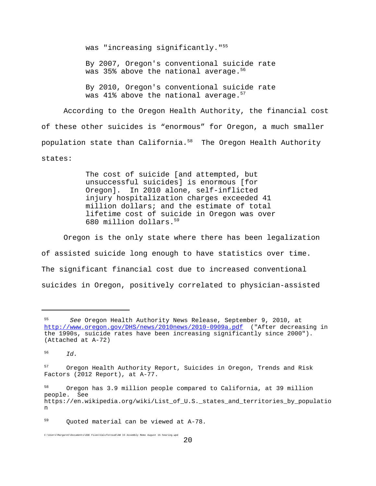was "increasing significantly."<sup>55</sup>

By 2007, Oregon's conventional suicide rate was 35% above the national average.<sup>56</sup>

By 2010, Oregon's conventional suicide rate was  $41\%$  above the national average.<sup>57</sup>

According to the Oregon Health Authority, the financial cost of these other suicides is "enormous" for Oregon, a much smaller population state than California.<sup>58</sup> The Oregon Health Authority states:

> The cost of suicide [and attempted, but unsuccessful suicides] is enormous [for Oregon]. In 2010 alone, self-inflicted injury hospitalization charges exceeded 41 million dollars; and the estimate of total lifetime cost of suicide in Oregon was over 680 million dollars.59

Oregon is the only state where there has been legalization of assisted suicide long enough to have statistics over time. The significant financial cost due to increased conventional suicides in Oregon, positively correlated to physician-assisted

<sup>55</sup> *See* Oregon Health Authority News Release, September 9, 2010, at http://www.oregon.gov/DHS/news/2010news/2010-0909a.pdf ("After decreasing in the 1990s, suicide rates have been increasing significantly since 2000"). (Attached at A-72)

 $^{56}$   $^{7d}$ .

<sup>&</sup>lt;sup>57</sup> Oregon Health Authority Report, Suicides in Oregon, Trends and Risk Factors (2012 Report), at A-77.

Oregon has 3.9 million people compared to California, at 39 million people. See https://en.wikipedia.org/wiki/List\_of\_U.S.\_states\_and\_territories\_by\_populatio n

<sup>59</sup> Quoted material can be viewed at A-78.